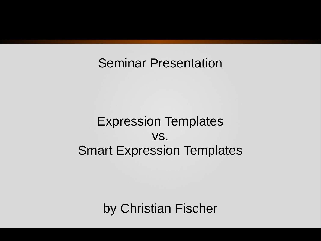#### Seminar Presentation

#### Expression Templates vs. Smart Expression Templates

by Christian Fischer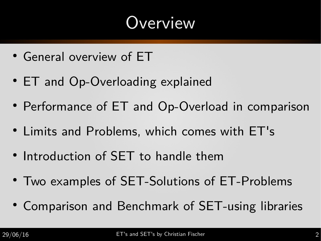## **Overview**

- General overview of ET
- ET and Op-Overloading explained
- Performance of ET and Op-Overload in comparison
- Limits and Problems, which comes with ET's
- Introduction of SET to handle them
- Two examples of SET-Solutions of ET-Problems
- Comparison and Benchmark of SET-using libraries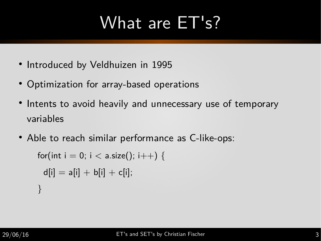## What are ET's?

- $\bullet$ Introduced by Veldhuizen in 1995
- Optimization for array-based operations
- $\bullet$ Intents to avoid heavily and unnecessary use of temporary variables
- Able to reach similar performance as C-like-ops:

```
for(int i = 0; i < a.size(); i++) {
 d[i] = a[i] + b[i] + c[i];}
```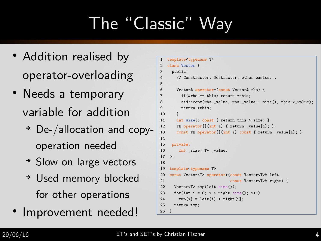# The "Classic" Way

- Addition realised by operator-overloading
- Needs a temporary variable for addition
	- ➔ De-/allocation and copyoperation needed
	- ➔ Slow on large vectors
	- ➔ Used memory blocked for other operations
- · Improvement needed!

```
1 template<typename T>
2 class Vector {
3 public:
4 // Constructor, Destructor, other basics...
5 
6 Vector& operator=(const Vector& rhs) {
7 if(&rhs == this) return *this;
8 std::copy(rhs._value, rhs._value + size(), this->_value);
9 return *this;
10 }
11 int size() const { return this-> size; }
12 T& operator [] (int i) { return value[i]; }
13 const T& operator[](int i) const { return _value[i]; }
14 
15 private:
16 int size; T* value;
17 };
18 
19 template<typename T>
20 const Vector<T> operator+(const Vector<T>& left,
21 const Vector<T>& right) {
22 Vector<T> tmp(left.size());
23 for(int i = 0; i < right.size(); i++)
24 tmp[i] = left[i] + right[i];
25 return tmp;
26 }
```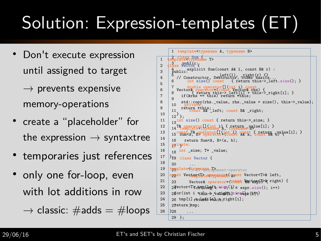# Solution: Expression-templates (ET)

- Don't execute expression until assigned to target
	- $\rightarrow$  prevents expensive memory-operations
- create a "placeholder" for the expression  $\rightarrow$  syntaxtree
- $\bullet$ temporaries just references
- only one for-loop, even with lot additions in row

```
\rightarrow classic: \#adds = \#loops
```

```
1 template<typename A, typename B>
2 class Sum {
1 template<typename T>
3 public:
2 class Vector {
\frac{4}{3} public: explicit Sum(const A& 1, const B& r) :
4 | 5 // Constructor, Destructor, other basics...
               int size() const { return this-> left.size(); }
       7 double operator[](int i) const
\begin{array}{c} 6 \\ -8 \end{array} Vector& operator=(const Vector& rhs) {<br>\begin{array}{c} 8 \\ -8 \end{array} ( return this->_left[i] + this->_right[i]; }
      9 
       10 private:
9 return *this;<br>11 const A& _left; const B& _right;
\begin{array}{c|c} 10 & 12 \end{array};
11 | 13<sup>int size</sub>() const { return this->_size; }</sup>
12 14 T& operator [](int i) { return walue[i]; }<br>12 14 template<typename A, typename B>
13 | 15 Const T& pperator [] (int i) const { return _value[i]; }<br>15 Sum<A, B> operator+(const A& a, const B& b)
      16 return Sum<A, B>(a, b);
15 \sqrt{p} private:
16 \mid 18 int _size; T* _value;
17 \}i9 class Vector {
      20 ...
19 template<typename ishment-operator
20 const Vectoriate exemplate (genst Vector<T>& left,
21 23 Vector& operator=(const Vector Vector) {
22\left(2\frac{3}{2}\right) 24 ector<T\for the corolleged time size (); i++)
23 2for(int i this->_valight.]size(x)r[if<del>];</del>)
24 26 \tt{tmp[i]} rethen fithis; right[i];
25 \mid 27 eturn \text{\#mp};328 ...
      29 };
5 
7 \mid \zeta if(&rhs == this) return *this;
8 std::copy(rhs._value, rhs._value + size(), this->_value);<br>
10 private:
14 
18 
26 }
```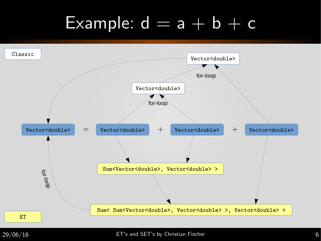## Example:  $d = a + b + c$



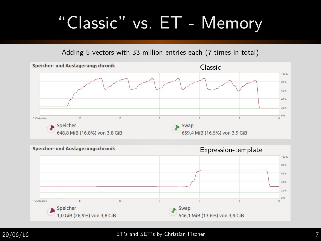## "Classic" vs. ET - Memory

Adding 5 vectors with 33-million entries each (7-times in total)





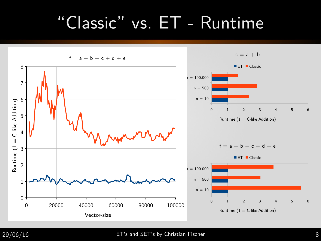## "Classic" vs. ET - Runtime



#### $29/06/16$  ET's and SET's by Christian Fischer 8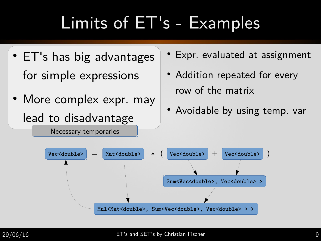- ET's has big advantages for simple expressions
- More complex expr. may lead to disadvantage

Necessary temporaries

- Expr. evaluated at assignment
- Addition repeated for every row of the matrix
- Avoidable by using temp. var

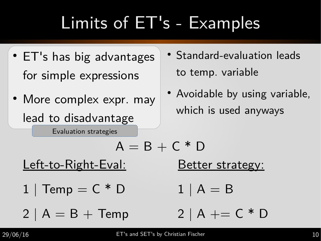- ET's has big advantages for simple expressions
- More complex expr. may lead to disadvantage

Evaluation strategies

- Standard-evaluation leads to temp. variable
- Avoidable by using variable, which is used anyways

Better strategy: Left-to-Right-Eval:

 $A = B + C * D$ 

 $1 \mid A = B$  $1 \vert$  Temp =  $C * D$ 

2 | A + =  $C * D$  $2 \mid A = B +$ Temp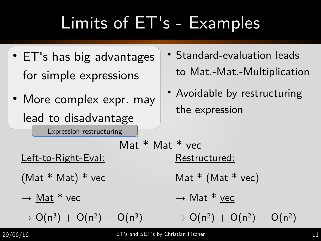- ET's has big advantages for simple expressions
- More complex expr. may lead to disadvantage

Expression-restructuring

- Standard-evaluation leads to Mat.-Mat.-Multiplication
- Avoidable by restructuring the expression

Restructured: Mat  $*$  (Mat  $*$  vec)  $\rightarrow$  Mat \* vec  $\rightarrow$  O(n<sup>2</sup>) + O(n<sup>2</sup>) = O(n<sup>2</sup>) Left-to-Right-Eval: (Mat \* Mat) \* vec  $\rightarrow$  Mat \* vec  $\rightarrow$  O(n<sup>3</sup>) + O(n<sup>2</sup>) = O(n<sup>3</sup>) Mat \* Mat \* vec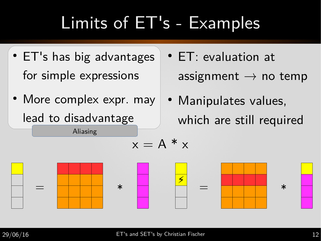- ET's has big advantages for simple expressions
- More complex expr. may lead to disadvantage

Aliasing

• ET: evaluation at assignment  $\rightarrow$  no temp

• Manipulates values, which are still required



 $x = A^*x$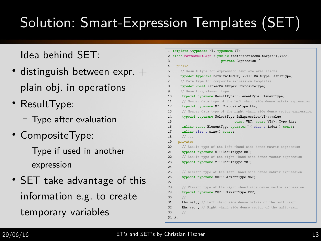## Solution: Smart-Expression Templates (SET)

#### Idea behind SET:

- distinguish between expr.  $+$ plain obj. in operations
- ResultType:
	- Type after evaluation
- CompositeType:
	- Type if used in another expression
- SET take advantage of this information e.g. to create temporary variables

|                | 1 template <typename mt,="" typename="" vt=""></typename>                                   |  |  |  |  |  |
|----------------|---------------------------------------------------------------------------------------------|--|--|--|--|--|
|                | 2 class MatVecMultExpr : public Vector <matvecmultexpr<mt, vt="">&gt;,</matvecmultexpr<mt,> |  |  |  |  |  |
| 3              | private Expression {                                                                        |  |  |  |  |  |
| 4              | public:                                                                                     |  |  |  |  |  |
| 5              | // Result type for expression template evaluations.                                         |  |  |  |  |  |
| 6              | typedef typename MathTrait <mrt, vrt="">::MultType ResultType;</mrt,>                       |  |  |  |  |  |
| $\overline{7}$ | // Data type for composite expression templates                                             |  |  |  |  |  |
| 8              | typedef const MatVecMultExpr& CompositeType;                                                |  |  |  |  |  |
| 9              | // Resulting element type                                                                   |  |  |  |  |  |
| 10             | typedef typename ResultType:: ElementType ElementType;                                      |  |  |  |  |  |
| 11             | // Member data type of the left -hand side dense matrix expression                          |  |  |  |  |  |
| 12             | typedef typename MT:: CompositeType Lhs;                                                    |  |  |  |  |  |
| 13             | // Member data type of the right -hand side dense vector expression                         |  |  |  |  |  |
| 14             | typedef typename SelectType <isexpression<vt>::value,</isexpression<vt>                     |  |  |  |  |  |
| 15             | const VRT, const VT&>::Type Rhs;                                                            |  |  |  |  |  |
| 16             | inline const ElementType operator[]( size_t index ) const;                                  |  |  |  |  |  |
| 17             | inline size_t size() const;                                                                 |  |  |  |  |  |
| 18             | 11                                                                                          |  |  |  |  |  |
| 19             | private:                                                                                    |  |  |  |  |  |
| 20             | // Result type of the left -hand side dense matrix expression                               |  |  |  |  |  |
| 21             | typedef typename MT:: ResultType MRT;                                                       |  |  |  |  |  |
| 22             | // Result type of the right -hand side dense vector expression                              |  |  |  |  |  |
| 23             | typedef typename VT:: ResultType VRT;                                                       |  |  |  |  |  |
| 24             |                                                                                             |  |  |  |  |  |
| 25             | // Element type of the left -hand side dense matrix expression                              |  |  |  |  |  |
| 26             | typedef typename MRT:: ElementType MET;                                                     |  |  |  |  |  |
| 27             |                                                                                             |  |  |  |  |  |
| 28             | // Element type of the right -hand side dense vector expression                             |  |  |  |  |  |
| 29             | typedef typename VRT:: ElementType VET;                                                     |  |  |  |  |  |
| 30             | 11                                                                                          |  |  |  |  |  |
| 31             | <b>Lhs mat</b> ; // Left -hand side dense matrix of the mult.-expr.                         |  |  |  |  |  |
| 32             | <b>Rhs vec</b> : // Right -hand side dense vector of the mult.-expr.                        |  |  |  |  |  |
| 33             | 11                                                                                          |  |  |  |  |  |
|                | 34 };                                                                                       |  |  |  |  |  |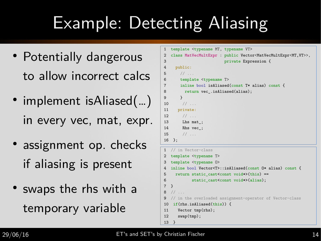## Example: Detecting Aliasing

- Potentially dangerous to allow incorrect calcs
- implement isAliased(...) in every vec, mat, expr.
- assignment op. checks if aliasing is present
- swaps the rhs with a temporary variable

```
1 template <typename MT, typename VT>
2 class MatVecMultExpr : public Vector<MatVecMultExpr<MT,VT>>,
3 private Expression {
4 public:
5 / / ...6 template <typename T>
7 inline bool isAliased(const T* alias) const {
8 return vec.isAliased(alias);
9 }
10 / / ...11 private:
12 // ...
13 Lhs mat;
14 Rhs vec_;
15 // ...
16 };
1 // in Vector-class
2 template <typename T>
3 template <typename O>
4 inline bool Vector<T>::isAliased(const O* alias) const {
5 return static cast<const void*>(this) ==
6 static_cast<const void*>(alias);
7 }
8 / / ...
```

```
9 // in the overloaded assignment-operator of Vector-class
```
10 if(rhs.isAliased(this)) {

```
11 Vector tmp(rhs);
```

```
12 swap(tmp);
```
13 }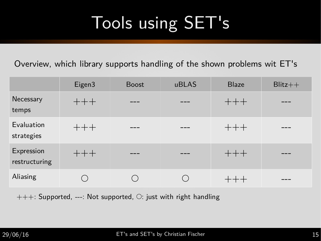## Tools using SET's

Overview, which library supports handling of the shown problems wit ET's

|                             | Eigen3 | <b>Boost</b> | uBLAS | <b>Blaze</b> | $Blitz++$ |
|-----------------------------|--------|--------------|-------|--------------|-----------|
| Necessary<br>temps          | $+++$  |              |       | $+++$        |           |
| Evaluation<br>strategies    | $+++$  |              |       | $+++$        |           |
| Expression<br>restructuring | $++ +$ |              |       | $+++$        |           |
| Aliasing                    |        |              |       |              |           |

 $+++$ : Supported, ---: Not supported,  $\bigcirc$ : just with right handling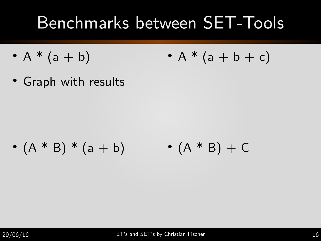## Benchmarks between SET-Tools

- $A * (a + b)$ •  $A * (a + b + c)$
- Graph with results

•  $(A * B) * (a + b)$  •  $(A * B) + C$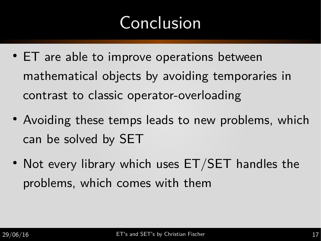## Conclusion

- ET are able to improve operations between mathematical objects by avoiding temporaries in contrast to classic operator-overloading
- Avoiding these temps leads to new problems, which can be solved by SET
- Not every library which uses  $ET/SET$  handles the problems, which comes with them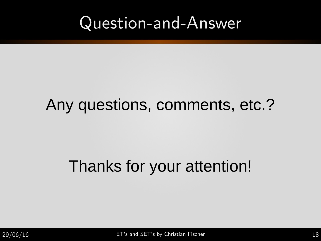#### Question-and-Answer

#### Any questions, comments, etc.?

#### Thanks for your attention!